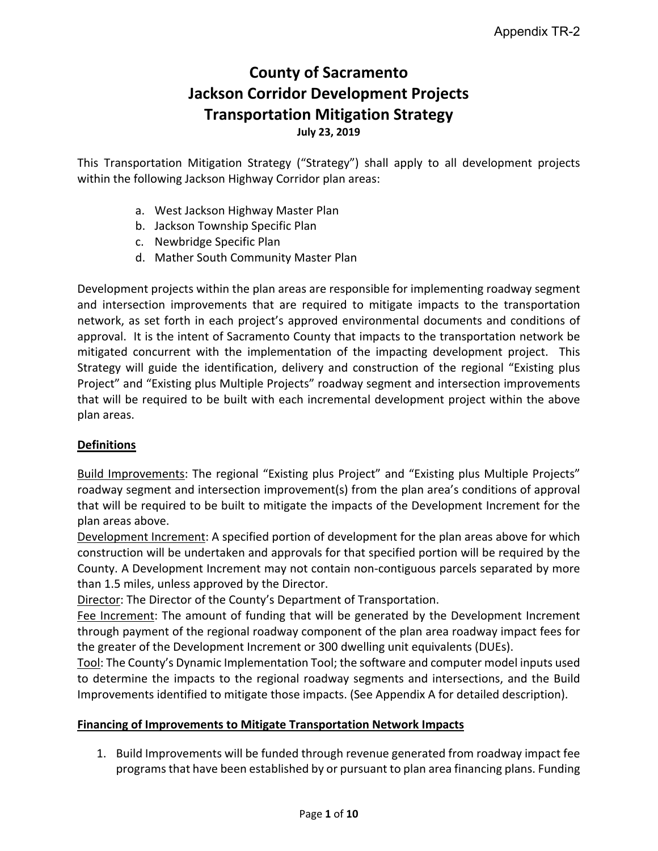# **County of Sacramento Jackson Corridor Development Projects Transportation Mitigation Strategy**

**July 23, 2019**

This Transportation Mitigation Strategy ("Strategy") shall apply to all development projects within the following Jackson Highway Corridor plan areas:

- a. West Jackson Highway Master Plan
- b. Jackson Township Specific Plan
- c. Newbridge Specific Plan
- d. Mather South Community Master Plan

Development projects within the plan areas are responsible for implementing roadway segment and intersection improvements that are required to mitigate impacts to the transportation network, as set forth in each project's approved environmental documents and conditions of approval. It is the intent of Sacramento County that impacts to the transportation network be mitigated concurrent with the implementation of the impacting development project. This Strategy will guide the identification, delivery and construction of the regional "Existing plus Project" and "Existing plus Multiple Projects" roadway segment and intersection improvements that will be required to be built with each incremental development project within the above plan areas.

## **Definitions**

Build Improvements: The regional "Existing plus Project" and "Existing plus Multiple Projects" roadway segment and intersection improvement(s) from the plan area's conditions of approval that will be required to be built to mitigate the impacts of the Development Increment for the plan areas above.

Development Increment: A specified portion of development for the plan areas above for which construction will be undertaken and approvals for that specified portion will be required by the County. A Development Increment may not contain non-contiguous parcels separated by more than 1.5 miles, unless approved by the Director.

Director: The Director of the County's Department of Transportation.

Fee Increment: The amount of funding that will be generated by the Development Increment through payment of the regional roadway component of the plan area roadway impact fees for the greater of the Development Increment or 300 dwelling unit equivalents (DUEs).

Tool: The County's Dynamic Implementation Tool; the software and computer model inputs used to determine the impacts to the regional roadway segments and intersections, and the Build Improvements identified to mitigate those impacts. (See Appendix A for detailed description).

### **Financing of Improvements to Mitigate Transportation Network Impacts**

1. Build Improvements will be funded through revenue generated from roadway impact fee programs that have been established by or pursuant to plan area financing plans. Funding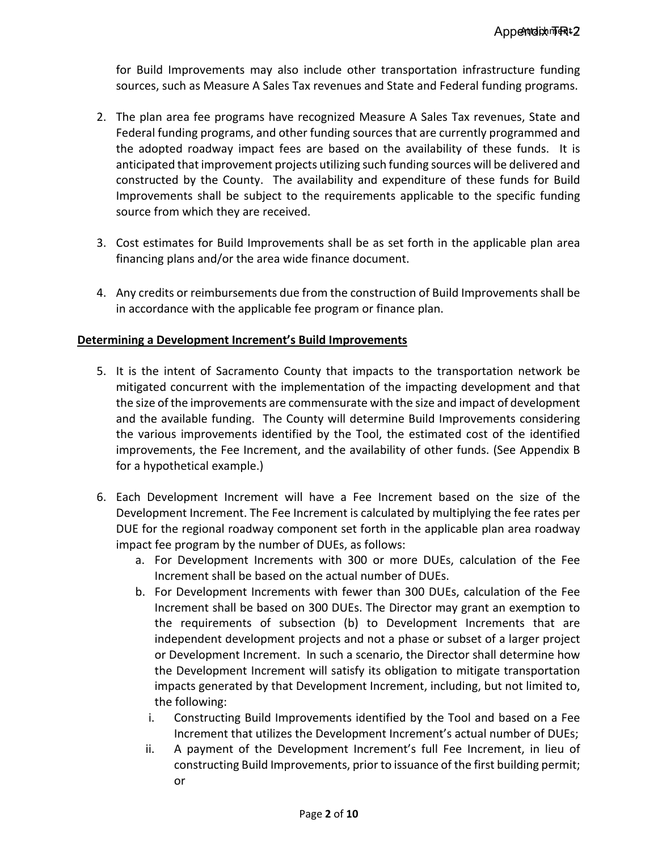for Build Improvements may also include other transportation infrastructure funding sources, such as Measure A Sales Tax revenues and State and Federal funding programs.

- 2. The plan area fee programs have recognized Measure A Sales Tax revenues, State and Federal funding programs, and other funding sources that are currently programmed and the adopted roadway impact fees are based on the availability of these funds. It is anticipated that improvement projects utilizing such funding sources will be delivered and constructed by the County. The availability and expenditure of these funds for Build Improvements shall be subject to the requirements applicable to the specific funding source from which they are received.
- 3. Cost estimates for Build Improvements shall be as set forth in the applicable plan area financing plans and/or the area wide finance document.
- 4. Any credits or reimbursements due from the construction of Build Improvements shall be in accordance with the applicable fee program or finance plan.

### **Determining a Development Increment's Build Improvements**

- 5. It is the intent of Sacramento County that impacts to the transportation network be mitigated concurrent with the implementation of the impacting development and that the size of the improvements are commensurate with the size and impact of development and the available funding. The County will determine Build Improvements considering the various improvements identified by the Tool, the estimated cost of the identified improvements, the Fee Increment, and the availability of other funds. (See Appendix B for a hypothetical example.)
- 6. Each Development Increment will have a Fee Increment based on the size of the Development Increment. The Fee Increment is calculated by multiplying the fee rates per DUE for the regional roadway component set forth in the applicable plan area roadway impact fee program by the number of DUEs, as follows:
	- a. For Development Increments with 300 or more DUEs, calculation of the Fee Increment shall be based on the actual number of DUEs.
	- b. For Development Increments with fewer than 300 DUEs, calculation of the Fee Increment shall be based on 300 DUEs. The Director may grant an exemption to the requirements of subsection (b) to Development Increments that are independent development projects and not a phase or subset of a larger project or Development Increment. In such a scenario, the Director shall determine how the Development Increment will satisfy its obligation to mitigate transportation impacts generated by that Development Increment, including, but not limited to, the following:
		- i. Constructing Build Improvements identified by the Tool and based on a Fee Increment that utilizes the Development Increment's actual number of DUEs;
		- ii. A payment of the Development Increment's full Fee Increment, in lieu of constructing Build Improvements, prior to issuance of the first building permit; or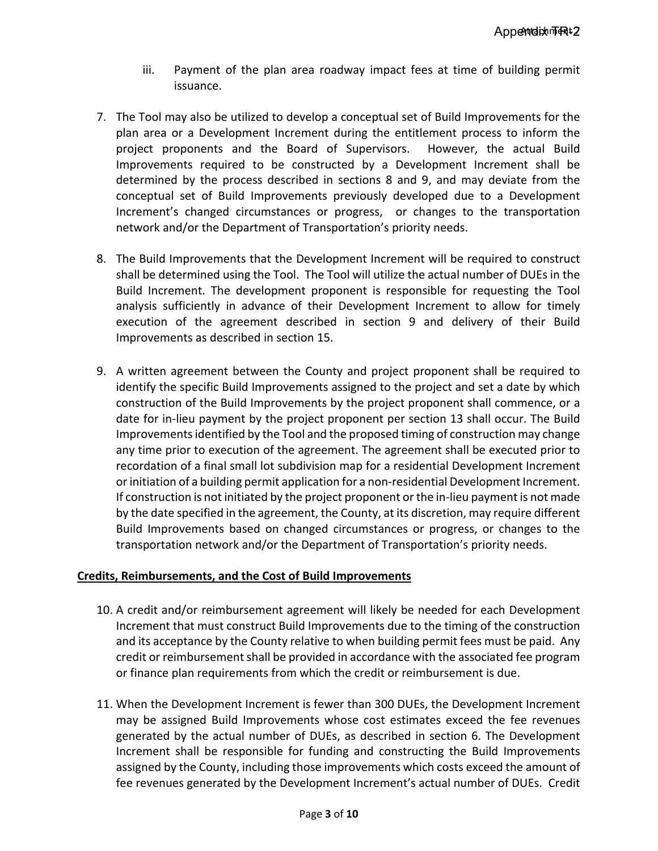- iii. Payment of the plan area roadway impact fees at time of building permit issuance.
- 7. The Tool may also be utilized to develop a conceptual set of Build Improvements for the plan area or a Development Increment during the entitlement process to inform the project proponents and the Board of Supervisors. However, the actual Build Improvements required to be constructed by a Development Increment shall be determined by the process described in sections 8 and 9, and may deviate from the conceptual set of Build Improvements previously developed due to a Development Increment's changed circumstances or progress, or changes to the transportation network and/or the Department of Transportation's priority needs.
- 8. The Build Improvements that the Development Increment will be required to construct shall be determined using the Tool. The Tool will utilize the actual number of DUEs in the Build Increment. The development proponent is responsible for requesting the Tool analysis sufficiently in advance of their Development Increment to allow for timely execution of the agreement described in section 9 and delivery of their Build Improvements as described in section 15.
- 9. A written agreement between the County and project proponent shall be required to identify the specific Build Improvements assigned to the project and set a date by which construction of the Build Improvements by the project proponent shall commence, or a date for in-lieu payment by the project proponent per section 13 shall occur. The Build Improvements identified by the Tool and the proposed timing of construction may change any time prior to execution of the agreement. The agreement shall be executed prior to recordation of a final small lot subdivision map for a residential Development Increment or initiation of a building permit application for a non-residential Development Increment. If construction is not initiated by the project proponent or the in-lieu payment is not made by the date specified in the agreement, the County, at its discretion, may require different Build Improvements based on changed circumstances or progress, or changes to the transportation network and/or the Department of Transportation's priority needs.

### **Credits, Reimbursements, and the Cost of Build Improvements**

- 10. A credit and/or reimbursement agreement will likely be needed for each Development Increment that must construct Build Improvements due to the timing of the construction and its acceptance by the County relative to when building permit fees must be paid. Any credit or reimbursement shall be provided in accordance with the associated fee program or finance plan requirements from which the credit or reimbursement is due.
- 11. When the Development Increment is fewer than 300 DUEs, the Development Increment may be assigned Build Improvements whose cost estimates exceed the fee revenues generated by the actual number of DUEs, as described in section 6. The Development Increment shall be responsible for funding and constructing the Build Improvements assigned by the County, including those improvements which costs exceed the amount of fee revenues generated by the Development Increment's actual number of DUEs. Credit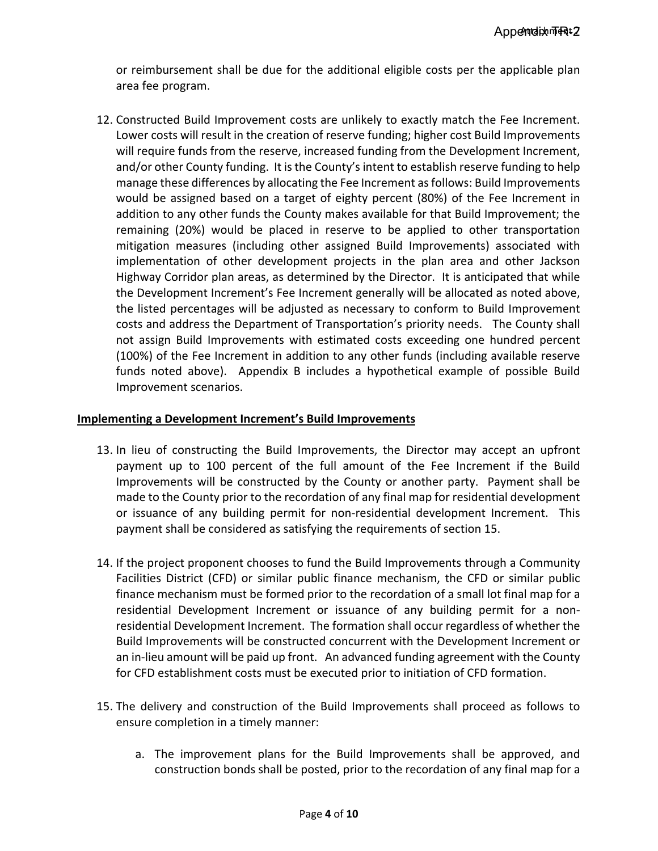or reimbursement shall be due for the additional eligible costs per the applicable plan area fee program.

12. Constructed Build Improvement costs are unlikely to exactly match the Fee Increment. Lower costs will result in the creation of reserve funding; higher cost Build Improvements will require funds from the reserve, increased funding from the Development Increment, and/or other County funding. It is the County's intent to establish reserve funding to help manage these differences by allocating the Fee Increment as follows: Build Improvements would be assigned based on a target of eighty percent (80%) of the Fee Increment in addition to any other funds the County makes available for that Build Improvement; the remaining (20%) would be placed in reserve to be applied to other transportation mitigation measures (including other assigned Build Improvements) associated with implementation of other development projects in the plan area and other Jackson Highway Corridor plan areas, as determined by the Director. It is anticipated that while the Development Increment's Fee Increment generally will be allocated as noted above, the listed percentages will be adjusted as necessary to conform to Build Improvement costs and address the Department of Transportation's priority needs. The County shall not assign Build Improvements with estimated costs exceeding one hundred percent (100%) of the Fee Increment in addition to any other funds (including available reserve funds noted above). Appendix B includes a hypothetical example of possible Build Improvement scenarios.

### **Implementing a Development Increment's Build Improvements**

- 13. In lieu of constructing the Build Improvements, the Director may accept an upfront payment up to 100 percent of the full amount of the Fee Increment if the Build Improvements will be constructed by the County or another party. Payment shall be made to the County prior to the recordation of any final map for residential development or issuance of any building permit for non-residential development Increment. This payment shall be considered as satisfying the requirements of section 15.
- 14. If the project proponent chooses to fund the Build Improvements through a Community Facilities District (CFD) or similar public finance mechanism, the CFD or similar public finance mechanism must be formed prior to the recordation of a small lot final map for a residential Development Increment or issuance of any building permit for a nonresidential Development Increment. The formation shall occur regardless of whether the Build Improvements will be constructed concurrent with the Development Increment or an in-lieu amount will be paid up front. An advanced funding agreement with the County for CFD establishment costs must be executed prior to initiation of CFD formation.
- 15. The delivery and construction of the Build Improvements shall proceed as follows to ensure completion in a timely manner:
	- a. The improvement plans for the Build Improvements shall be approved, and construction bonds shall be posted, prior to the recordation of any final map for a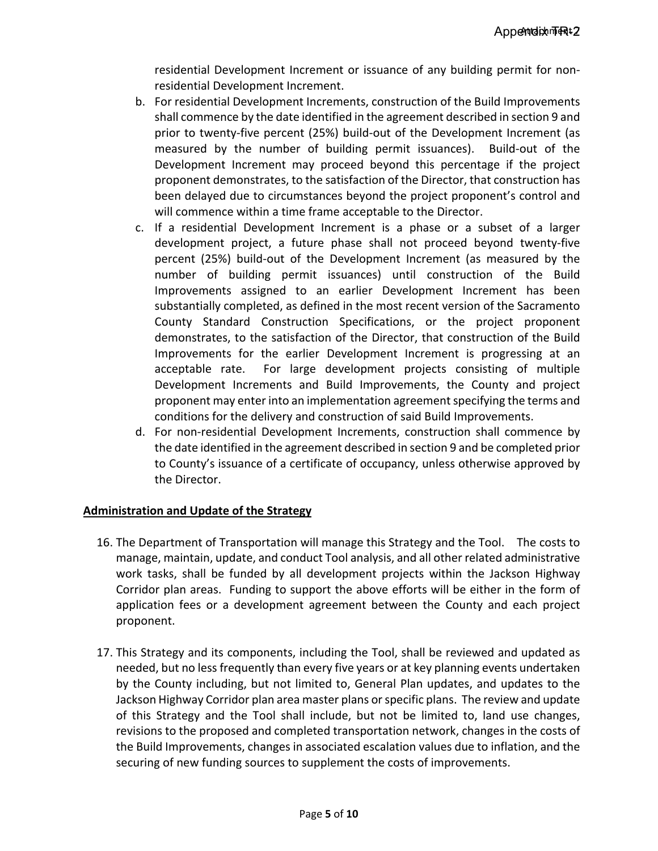residential Development Increment or issuance of any building permit for nonresidential Development Increment.

- b. For residential Development Increments, construction of the Build Improvements shall commence by the date identified in the agreement described in section 9 and prior to twenty-five percent (25%) build-out of the Development Increment (as measured by the number of building permit issuances). Build-out of the Development Increment may proceed beyond this percentage if the project proponent demonstrates, to the satisfaction of the Director, that construction has been delayed due to circumstances beyond the project proponent's control and will commence within a time frame acceptable to the Director.
- c. If a residential Development Increment is a phase or a subset of a larger development project, a future phase shall not proceed beyond twenty-five percent (25%) build-out of the Development Increment (as measured by the number of building permit issuances) until construction of the Build Improvements assigned to an earlier Development Increment has been substantially completed, as defined in the most recent version of the Sacramento County Standard Construction Specifications, or the project proponent demonstrates, to the satisfaction of the Director, that construction of the Build Improvements for the earlier Development Increment is progressing at an acceptable rate. For large development projects consisting of multiple Development Increments and Build Improvements, the County and project proponent may enter into an implementation agreement specifying the terms and conditions for the delivery and construction of said Build Improvements.
- d. For non-residential Development Increments, construction shall commence by the date identified in the agreement described in section 9 and be completed prior to County's issuance of a certificate of occupancy, unless otherwise approved by the Director.

### **Administration and Update of the Strategy**

- 16. The Department of Transportation will manage this Strategy and the Tool. The costs to manage, maintain, update, and conduct Tool analysis, and all other related administrative work tasks, shall be funded by all development projects within the Jackson Highway Corridor plan areas. Funding to support the above efforts will be either in the form of application fees or a development agreement between the County and each project proponent.
- 17. This Strategy and its components, including the Tool, shall be reviewed and updated as needed, but no less frequently than every five years or at key planning events undertaken by the County including, but not limited to, General Plan updates, and updates to the Jackson Highway Corridor plan area master plans or specific plans. The review and update of this Strategy and the Tool shall include, but not be limited to, land use changes, revisions to the proposed and completed transportation network, changes in the costs of the Build Improvements, changes in associated escalation values due to inflation, and the securing of new funding sources to supplement the costs of improvements.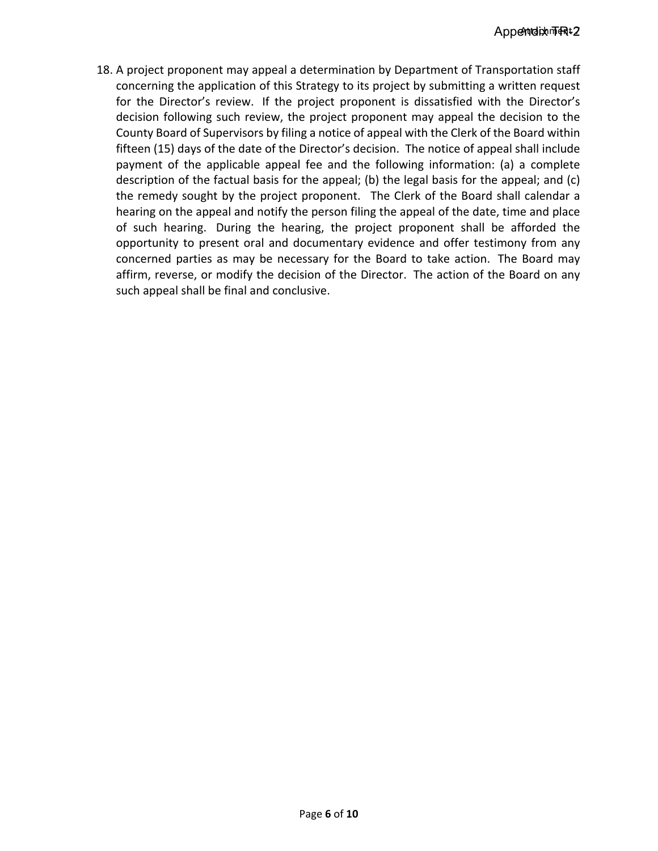18. A project proponent may appeal a determination by Department of Transportation staff concerning the application of this Strategy to its project by submitting a written request for the Director's review. If the project proponent is dissatisfied with the Director's decision following such review, the project proponent may appeal the decision to the County Board of Supervisors by filing a notice of appeal with the Clerk of the Board within fifteen (15) days of the date of the Director's decision. The notice of appeal shall include payment of the applicable appeal fee and the following information: (a) a complete description of the factual basis for the appeal; (b) the legal basis for the appeal; and (c) the remedy sought by the project proponent. The Clerk of the Board shall calendar a hearing on the appeal and notify the person filing the appeal of the date, time and place of such hearing. During the hearing, the project proponent shall be afforded the opportunity to present oral and documentary evidence and offer testimony from any concerned parties as may be necessary for the Board to take action. The Board may affirm, reverse, or modify the decision of the Director. The action of the Board on any such appeal shall be final and conclusive.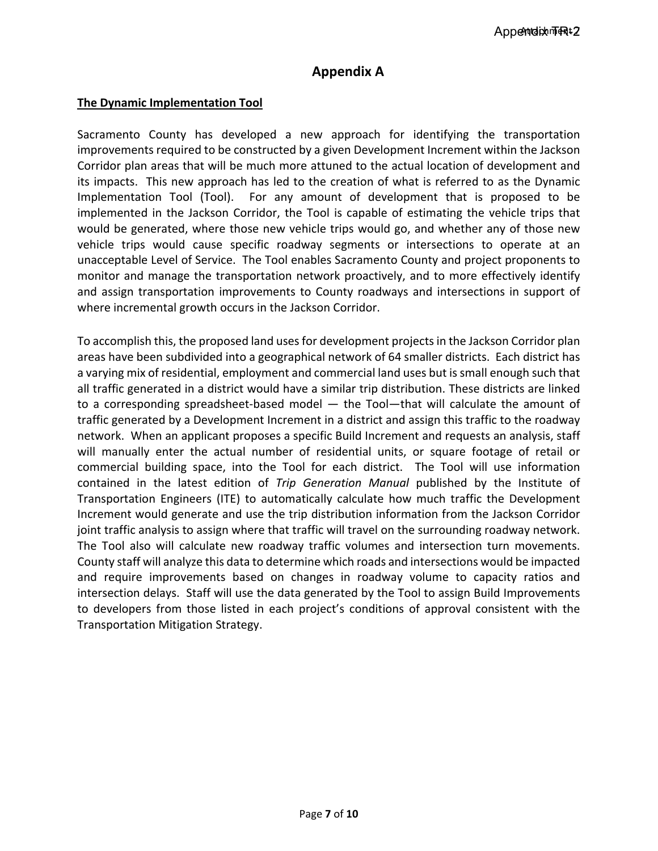# **Appendix A**

#### **The Dynamic Implementation Tool**

Sacramento County has developed a new approach for identifying the transportation improvements required to be constructed by a given Development Increment within the Jackson Corridor plan areas that will be much more attuned to the actual location of development and its impacts. This new approach has led to the creation of what is referred to as the Dynamic Implementation Tool (Tool). For any amount of development that is proposed to be implemented in the Jackson Corridor, the Tool is capable of estimating the vehicle trips that would be generated, where those new vehicle trips would go, and whether any of those new vehicle trips would cause specific roadway segments or intersections to operate at an unacceptable Level of Service. The Tool enables Sacramento County and project proponents to monitor and manage the transportation network proactively, and to more effectively identify and assign transportation improvements to County roadways and intersections in support of where incremental growth occurs in the Jackson Corridor.

To accomplish this, the proposed land uses for development projects in the Jackson Corridor plan areas have been subdivided into a geographical network of 64 smaller districts. Each district has a varying mix of residential, employment and commercial land uses but is small enough such that all traffic generated in a district would have a similar trip distribution. These districts are linked to a corresponding spreadsheet-based model — the Tool—that will calculate the amount of traffic generated by a Development Increment in a district and assign this traffic to the roadway network. When an applicant proposes a specific Build Increment and requests an analysis, staff will manually enter the actual number of residential units, or square footage of retail or commercial building space, into the Tool for each district. The Tool will use information contained in the latest edition of *Trip Generation Manual* published by the Institute of Transportation Engineers (ITE) to automatically calculate how much traffic the Development Increment would generate and use the trip distribution information from the Jackson Corridor joint traffic analysis to assign where that traffic will travel on the surrounding roadway network. The Tool also will calculate new roadway traffic volumes and intersection turn movements. County staff will analyze this data to determine which roads and intersections would be impacted and require improvements based on changes in roadway volume to capacity ratios and intersection delays. Staff will use the data generated by the Tool to assign Build Improvements to developers from those listed in each project's conditions of approval consistent with the Transportation Mitigation Strategy.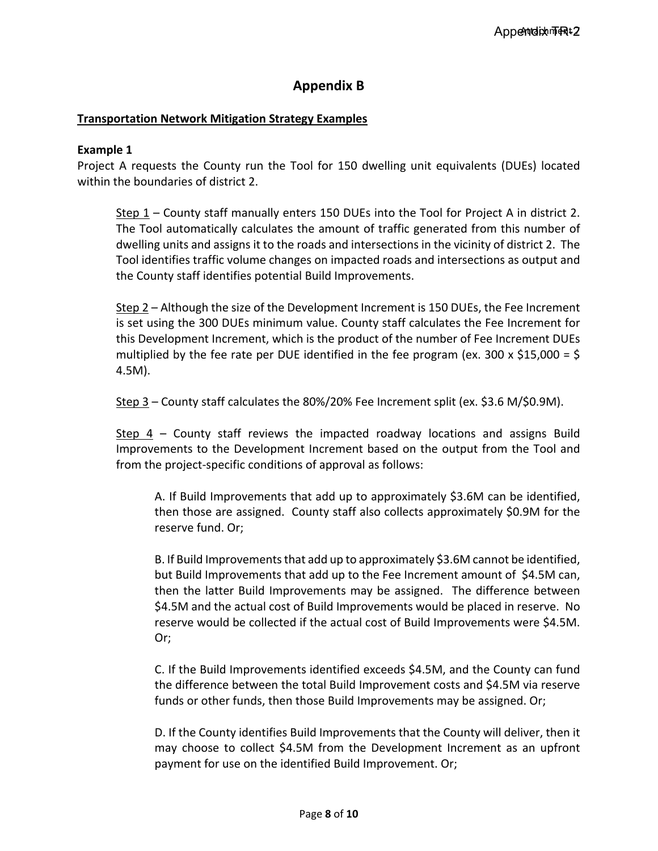# **Appendix B**

### **Transportation Network Mitigation Strategy Examples**

#### **Example 1**

Project A requests the County run the Tool for 150 dwelling unit equivalents (DUEs) located within the boundaries of district 2.

Step 1 – County staff manually enters 150 DUEs into the Tool for Project A in district 2. The Tool automatically calculates the amount of traffic generated from this number of dwelling units and assigns it to the roads and intersections in the vicinity of district 2. The Tool identifies traffic volume changes on impacted roads and intersections as output and the County staff identifies potential Build Improvements.

Step 2 – Although the size of the Development Increment is 150 DUEs, the Fee Increment is set using the 300 DUEs minimum value. County staff calculates the Fee Increment for this Development Increment, which is the product of the number of Fee Increment DUEs multiplied by the fee rate per DUE identified in the fee program (ex. 300 x \$15,000 = \$ 4.5M).

Step 3 – County staff calculates the 80%/20% Fee Increment split (ex. \$3.6 M/\$0.9M).

Step 4 – County staff reviews the impacted roadway locations and assigns Build Improvements to the Development Increment based on the output from the Tool and from the project-specific conditions of approval as follows:

A. If Build Improvements that add up to approximately \$3.6M can be identified, then those are assigned. County staff also collects approximately \$0.9M for the reserve fund. Or;

B. If Build Improvements that add up to approximately \$3.6M cannot be identified, but Build Improvements that add up to the Fee Increment amount of \$4.5M can, then the latter Build Improvements may be assigned. The difference between \$4.5M and the actual cost of Build Improvements would be placed in reserve. No reserve would be collected if the actual cost of Build Improvements were \$4.5M. Or;

C. If the Build Improvements identified exceeds \$4.5M, and the County can fund the difference between the total Build Improvement costs and \$4.5M via reserve funds or other funds, then those Build Improvements may be assigned. Or;

D. If the County identifies Build Improvements that the County will deliver, then it may choose to collect \$4.5M from the Development Increment as an upfront payment for use on the identified Build Improvement. Or;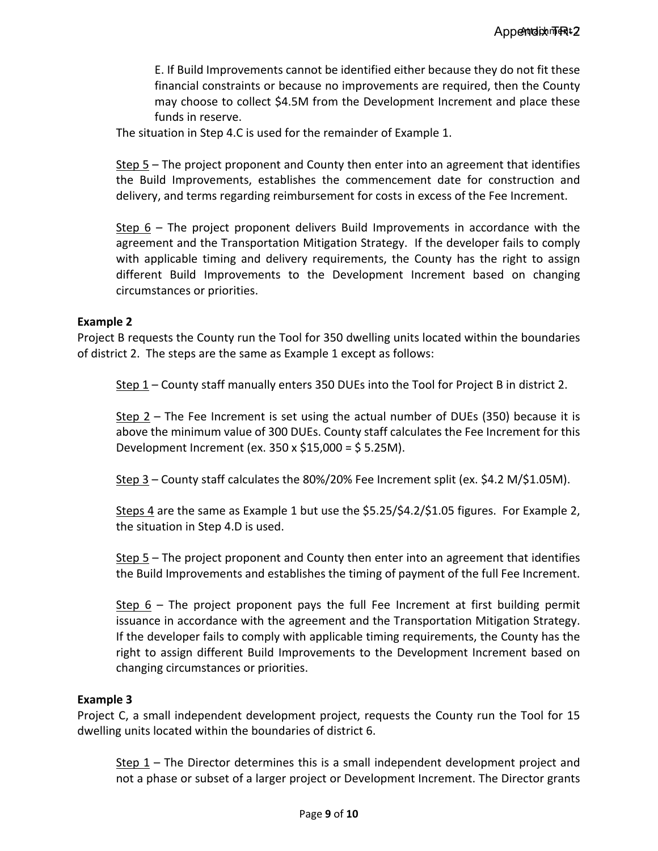E. If Build Improvements cannot be identified either because they do not fit these financial constraints or because no improvements are required, then the County may choose to collect \$4.5M from the Development Increment and place these funds in reserve.

The situation in Step 4.C is used for the remainder of Example 1.

Step 5 – The project proponent and County then enter into an agreement that identifies the Build Improvements, establishes the commencement date for construction and delivery, and terms regarding reimbursement for costs in excess of the Fee Increment.

Step 6 – The project proponent delivers Build Improvements in accordance with the agreement and the Transportation Mitigation Strategy. If the developer fails to comply with applicable timing and delivery requirements, the County has the right to assign different Build Improvements to the Development Increment based on changing circumstances or priorities.

#### **Example 2**

Project B requests the County run the Tool for 350 dwelling units located within the boundaries of district 2. The steps are the same as Example 1 except as follows:

Step 1 – County staff manually enters 350 DUEs into the Tool for Project B in district 2.

Step 2 – The Fee Increment is set using the actual number of DUEs (350) because it is above the minimum value of 300 DUEs. County staff calculates the Fee Increment for this Development Increment (ex. 350 x \$15,000 = \$ 5.25M).

Step 3 – County staff calculates the 80%/20% Fee Increment split (ex. \$4.2 M/\$1.05M).

Steps 4 are the same as Example 1 but use the \$5.25/\$4.2/\$1.05 figures. For Example 2, the situation in Step 4.D is used.

Step 5 – The project proponent and County then enter into an agreement that identifies the Build Improvements and establishes the timing of payment of the full Fee Increment.

Step 6 – The project proponent pays the full Fee Increment at first building permit issuance in accordance with the agreement and the Transportation Mitigation Strategy. If the developer fails to comply with applicable timing requirements, the County has the right to assign different Build Improvements to the Development Increment based on changing circumstances or priorities.

### **Example 3**

Project C, a small independent development project, requests the County run the Tool for 15 dwelling units located within the boundaries of district 6.

Step 1 – The Director determines this is a small independent development project and not a phase or subset of a larger project or Development Increment. The Director grants